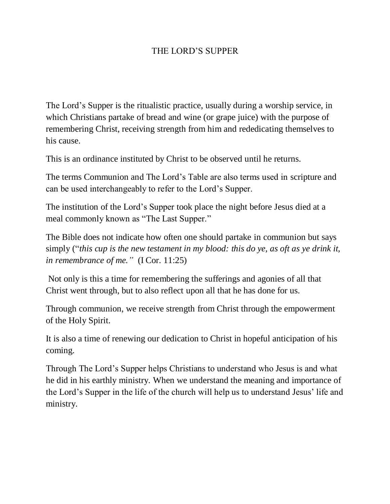## THE LORD'S SUPPER

The Lord's Supper is the ritualistic practice, usually during a worship service, in which Christians partake of bread and wine (or grape juice) with the purpose of remembering Christ, receiving strength from him and rededicating themselves to his cause.

This is an ordinance instituted by Christ to be observed until he returns.

The terms Communion and The Lord's Table are also terms used in scripture and can be used interchangeably to refer to the Lord's Supper.

The institution of the Lord's Supper took place the night before Jesus died at a meal commonly known as "The Last Supper."

The Bible does not indicate how often one should partake in communion but says simply ("*this cup is the new testament in my blood: this do ye, as oft as ye drink it, in remembrance of me."* (I Cor. 11:25)

Not only is this a time for remembering the sufferings and agonies of all that Christ went through, but to also reflect upon all that he has done for us.

Through communion, we receive strength from Christ through the empowerment of the Holy Spirit.

It is also a time of renewing our dedication to Christ in hopeful anticipation of his coming.

Through The Lord's Supper helps Christians to understand who Jesus is and what he did in his earthly ministry. When we understand the meaning and importance of the Lord's Supper in the life of the church will help us to understand Jesus' life and ministry.